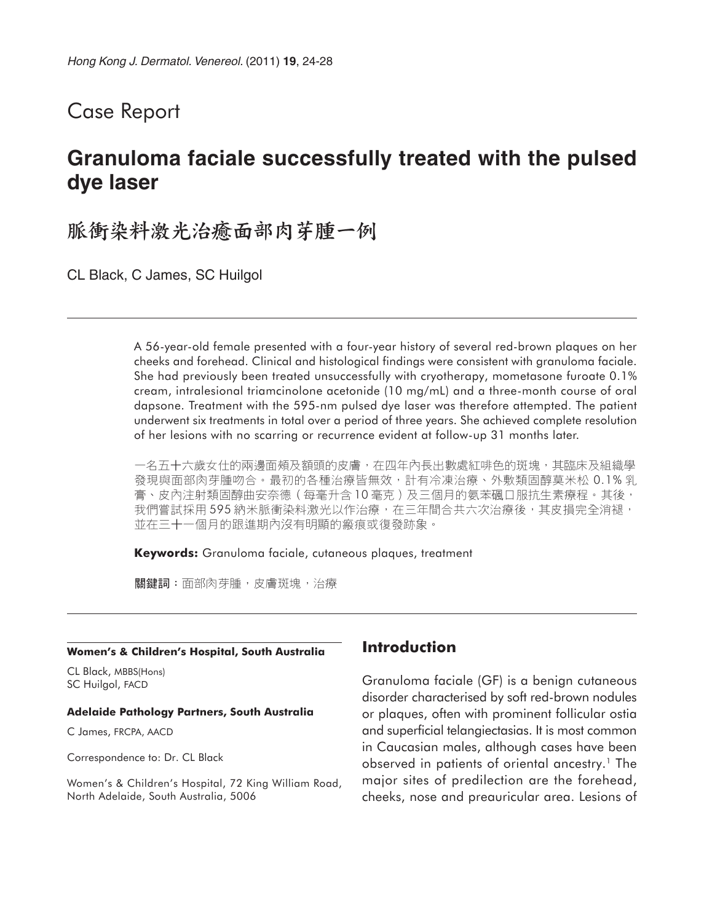# Case Report

# **Granuloma faciale successfully treated with the pulsed dye laser**

# 脈衝染料激光治癒面部肉芽腫一例

CL Black, C James, SC Huilgol

A 56-year-old female presented with a four-year history of several red-brown plaques on her cheeks and forehead. Clinical and histological findings were consistent with granuloma faciale. She had previously been treated unsuccessfully with cryotherapy, mometasone furoate 0.1% cream, intralesional triamcinolone acetonide (10 mg/mL) and a three-month course of oral dapsone. Treatment with the 595-nm pulsed dye laser was therefore attempted. The patient underwent six treatments in total over a period of three years. She achieved complete resolution of her lesions with no scarring or recurrence evident at follow-up 31 months later.

一名五十六歲女仕的兩邊面頰及額頭的皮膚,在四年內長出數處紅啡色的斑塊,其臨床及組織學 發現與面部肉芽腫吻合。最初的各種治療皆無效,計有冷凍治療、外敷類固醇莫米松 0.1% 乳 膏、皮內注射類固醇曲安奈德(每毫升含 10 毫克)及三個月的氨苯碸口服抗生素療程。其後, 我們嘗試採用595納米脈衝染料激光以作治療,在三年間合共六次治療後,其皮損完全消褪, 並在三十一個月的跟進期內沒有明顯的瘢痕或復發跡象。

**Keywords:** Granuloma faciale, cutaneous plaques, treatment

關鍵詞: 面部肉芽腫, 皮膚斑塊, 治療

#### **Women's & Children's Hospital, South Australia**

CL Black, MBBS(Hons) SC Huilgol, FACD

#### **Adelaide Pathology Partners, South Australia**

C James, FRCPA, AACD

Correspondence to: Dr. CL Black

Women's & Children's Hospital, 72 King William Road, North Adelaide, South Australia, 5006

### **Introduction**

Granuloma faciale (GF) is a benign cutaneous disorder characterised by soft red-brown nodules or plaques, often with prominent follicular ostia and superficial telangiectasias. It is most common in Caucasian males, although cases have been observed in patients of oriental ancestry.<sup>1</sup> The major sites of predilection are the forehead, cheeks, nose and preauricular area. Lesions of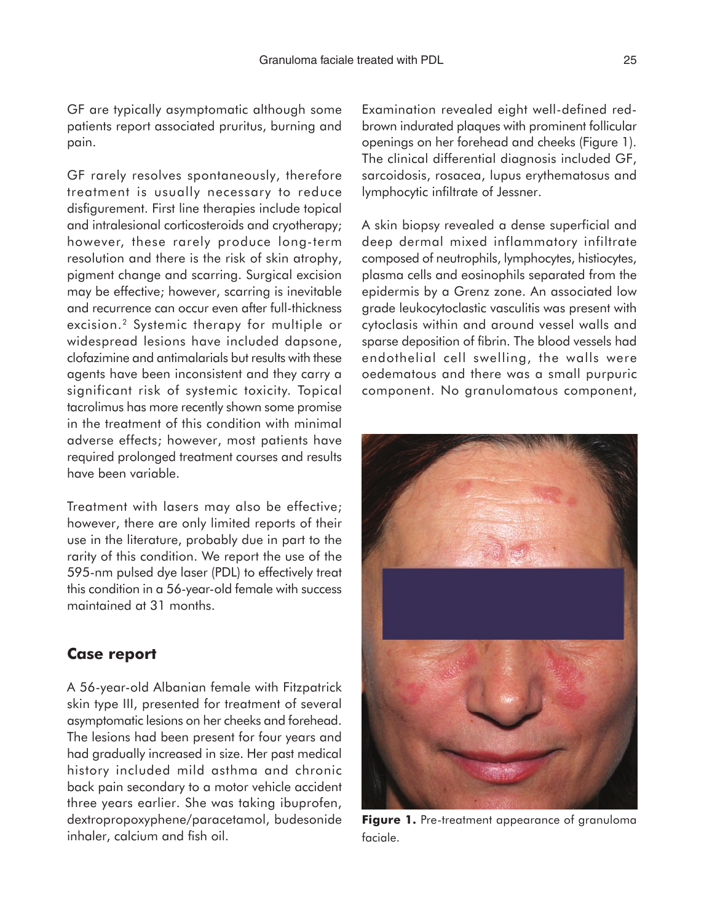GF are typically asymptomatic although some patients report associated pruritus, burning and pain.

GF rarely resolves spontaneously, therefore treatment is usually necessary to reduce disfigurement. First line therapies include topical and intralesional corticosteroids and cryotherapy; however, these rarely produce long-term resolution and there is the risk of skin atrophy, pigment change and scarring. Surgical excision may be effective; however, scarring is inevitable and recurrence can occur even after full-thickness excision.2 Systemic therapy for multiple or widespread lesions have included dapsone, clofazimine and antimalarials but results with these agents have been inconsistent and they carry a significant risk of systemic toxicity. Topical tacrolimus has more recently shown some promise in the treatment of this condition with minimal adverse effects; however, most patients have required prolonged treatment courses and results have been variable.

Treatment with lasers may also be effective; however, there are only limited reports of their use in the literature, probably due in part to the rarity of this condition. We report the use of the 595-nm pulsed dye laser (PDL) to effectively treat this condition in a 56-year-old female with success maintained at 31 months.

#### **Case report**

A 56-year-old Albanian female with Fitzpatrick skin type III, presented for treatment of several asymptomatic lesions on her cheeks and forehead. The lesions had been present for four years and had gradually increased in size. Her past medical history included mild asthma and chronic back pain secondary to a motor vehicle accident three years earlier. She was taking ibuprofen, dextropropoxyphene/paracetamol, budesonide inhaler, calcium and fish oil.

Examination revealed eight well-defined redbrown indurated plaques with prominent follicular openings on her forehead and cheeks (Figure 1). The clinical differential diagnosis included GF, sarcoidosis, rosacea, lupus erythematosus and lymphocytic infiltrate of Jessner.

A skin biopsy revealed a dense superficial and deep dermal mixed inflammatory infiltrate composed of neutrophils, lymphocytes, histiocytes, plasma cells and eosinophils separated from the epidermis by a Grenz zone. An associated low grade leukocytoclastic vasculitis was present with cytoclasis within and around vessel walls and sparse deposition of fibrin. The blood vessels had endothelial cell swelling, the walls were oedematous and there was a small purpuric component. No granulomatous component,



Figure 1. Pre-treatment appearance of granuloma faciale.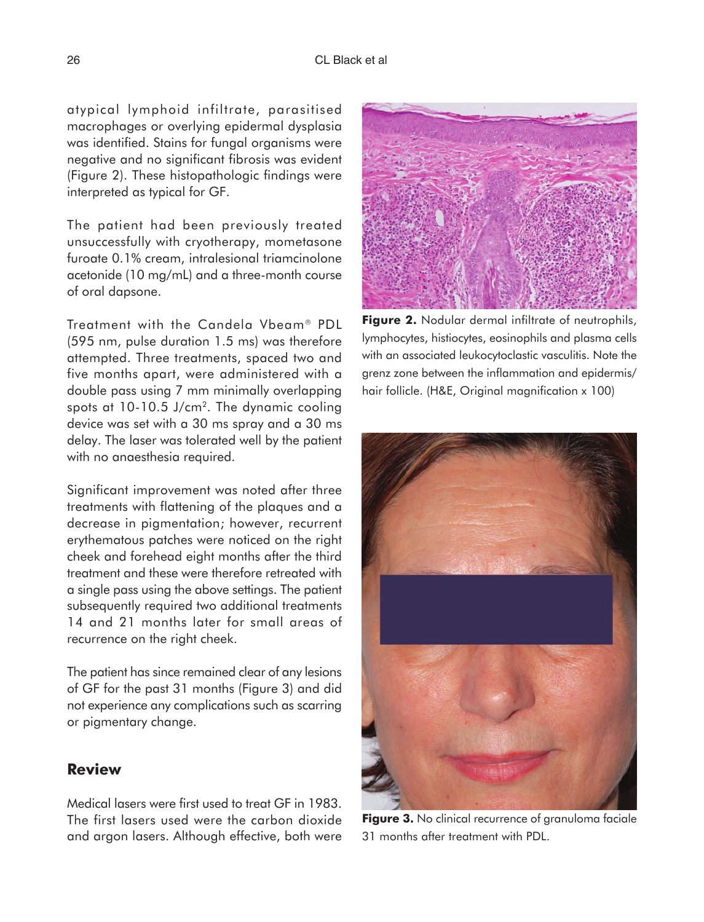atypical lymphoid infiltrate, parasitised macrophages or overlying epidermal dysplasia was identified. Stains for fungal organisms were negative and no significant fibrosis was evident (Figure 2). These histopathologic findings were interpreted as typical for GF.

The patient had been previously treated unsuccessfully with cryotherapy, mometasone furoate 0.1% cream, intralesional triamcinolone acetonide (10 mg/mL) and a three-month course of oral dapsone.

Treatment with the Candela Vbeam<sup>®</sup> PDL (595 nm, pulse duration 1.5 ms) was therefore attempted. Three treatments, spaced two and five months apart, were administered with a double pass using 7 mm minimally overlapping spots at  $10-10.5$  J/cm<sup>2</sup>. The dynamic cooling device was set with a 30 ms spray and a 30 ms delay. The laser was tolerated well by the patient with no anaesthesia required.

Significant improvement was noted after three treatments with flattening of the plaques and a decrease in pigmentation; however, recurrent erythematous patches were noticed on the right cheek and forehead eight months after the third treatment and these were therefore retreated with a single pass using the above settings. The patient subsequently required two additional treatments 14 and 21 months later for small areas of recurrence on the right cheek.

The patient has since remained clear of any lesions of GF for the past 31 months (Figure 3) and did not experience any complications such as scarring or pigmentary change.

### **Review**

Medical lasers were first used to treat GF in 1983. The first lasers used were the carbon dioxide and argon lasers. Although effective, both were

**Figure 2.** Nodular dermal infiltrate of neutrophils, lymphocytes, histiocytes, eosinophils and plasma cells with an associated leukocytoclastic vasculitis. Note the grenz zone between the inflammation and epidermis/ hair follicle. (H&E, Original magnification x 100)



**Figure 3.** No clinical recurrence of granuloma faciale 31 months after treatment with PDL.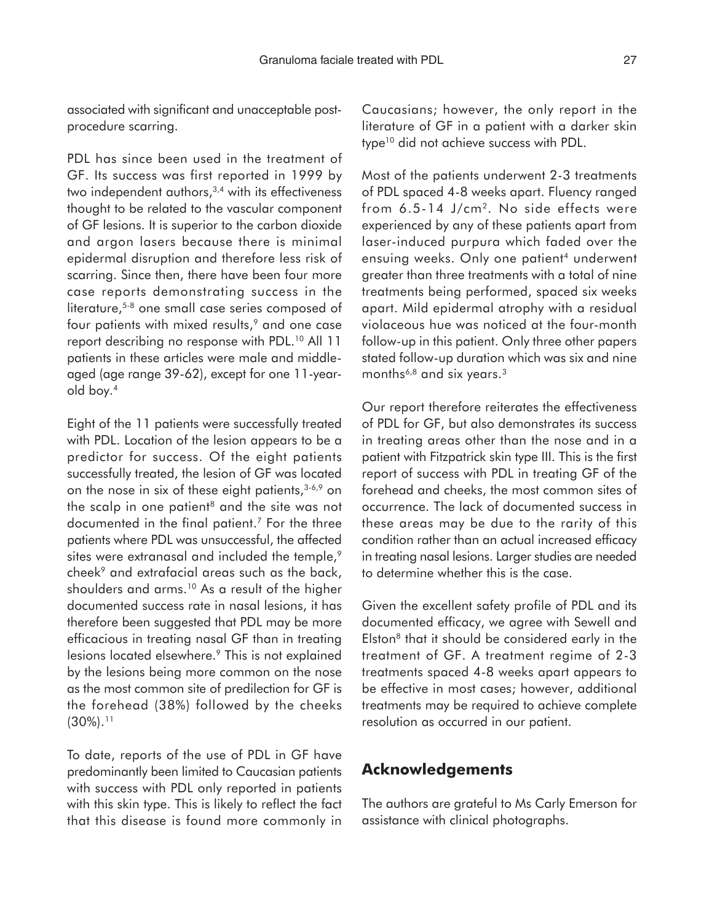associated with significant and unacceptable postprocedure scarring.

PDL has since been used in the treatment of GF. Its success was first reported in 1999 by two independent authors,<sup>3,4</sup> with its effectiveness thought to be related to the vascular component of GF lesions. It is superior to the carbon dioxide and argon lasers because there is minimal epidermal disruption and therefore less risk of scarring. Since then, there have been four more case reports demonstrating success in the literature,<sup>5-8</sup> one small case series composed of four patients with mixed results,<sup>9</sup> and one case report describing no response with PDL.<sup>10</sup> All 11 patients in these articles were male and middleaged (age range 39-62), except for one 11-yearold boy.4

Eight of the 11 patients were successfully treated with PDL. Location of the lesion appears to be a predictor for success. Of the eight patients successfully treated, the lesion of GF was located on the nose in six of these eight patients,  $3-6.9$  on the scalp in one patient<sup>8</sup> and the site was not documented in the final patient.7 For the three patients where PDL was unsuccessful, the affected sites were extranasal and included the temple,<sup>9</sup> cheek<sup>9</sup> and extrafacial areas such as the back, shoulders and arms.10 As a result of the higher documented success rate in nasal lesions, it has therefore been suggested that PDL may be more efficacious in treating nasal GF than in treating lesions located elsewhere.<sup>9</sup> This is not explained by the lesions being more common on the nose as the most common site of predilection for GF is the forehead (38%) followed by the cheeks  $(30\%)$ .<sup>11</sup>

To date, reports of the use of PDL in GF have predominantly been limited to Caucasian patients with success with PDL only reported in patients with this skin type. This is likely to reflect the fact that this disease is found more commonly in

Caucasians; however, the only report in the literature of GF in a patient with a darker skin type<sup>10</sup> did not achieve success with PDL.

Most of the patients underwent 2-3 treatments of PDL spaced 4-8 weeks apart. Fluency ranged from 6.5-14 J/cm<sup>2</sup>. No side effects were experienced by any of these patients apart from laser-induced purpura which faded over the ensuing weeks. Only one patient<sup>4</sup> underwent greater than three treatments with a total of nine treatments being performed, spaced six weeks apart. Mild epidermal atrophy with a residual violaceous hue was noticed at the four-month follow-up in this patient. Only three other papers stated follow-up duration which was six and nine months<sup>6,8</sup> and six years.<sup>3</sup>

Our report therefore reiterates the effectiveness of PDL for GF, but also demonstrates its success in treating areas other than the nose and in a patient with Fitzpatrick skin type III. This is the first report of success with PDL in treating GF of the forehead and cheeks, the most common sites of occurrence. The lack of documented success in these areas may be due to the rarity of this condition rather than an actual increased efficacy in treating nasal lesions. Larger studies are needed to determine whether this is the case.

Given the excellent safety profile of PDL and its documented efficacy, we agree with Sewell and Elston<sup>8</sup> that it should be considered early in the treatment of GF. A treatment regime of 2-3 treatments spaced 4-8 weeks apart appears to be effective in most cases; however, additional treatments may be required to achieve complete resolution as occurred in our patient.

### **Acknowledgements**

The authors are grateful to Ms Carly Emerson for assistance with clinical photographs.